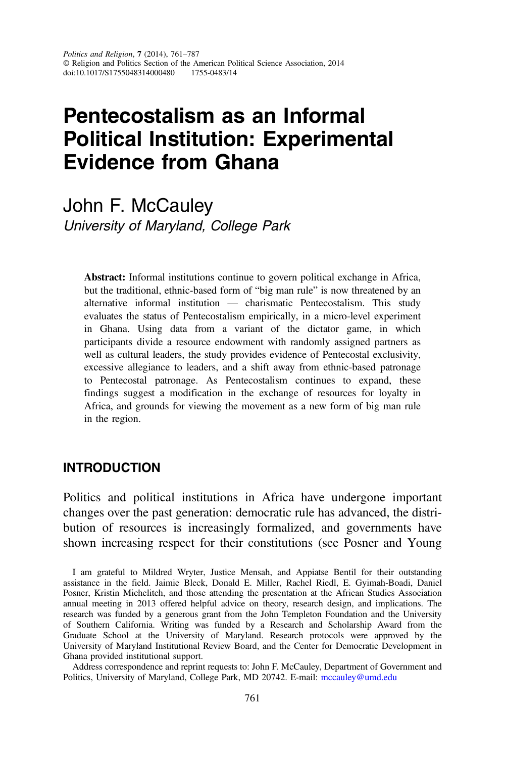# Pentecostalism as an Informal Political Institution: Experimental Evidence from Ghana

John F. McCauley University of Maryland, College Park

Abstract: Informal institutions continue to govern political exchange in Africa, but the traditional, ethnic-based form of "big man rule" is now threatened by an alternative informal institution — charismatic Pentecostalism. This study evaluates the status of Pentecostalism empirically, in a micro-level experiment in Ghana. Using data from a variant of the dictator game, in which participants divide a resource endowment with randomly assigned partners as well as cultural leaders, the study provides evidence of Pentecostal exclusivity, excessive allegiance to leaders, and a shift away from ethnic-based patronage to Pentecostal patronage. As Pentecostalism continues to expand, these findings suggest a modification in the exchange of resources for loyalty in Africa, and grounds for viewing the movement as a new form of big man rule in the region.

## INTRODUCTION

Politics and political institutions in Africa have undergone important changes over the past generation: democratic rule has advanced, the distribution of resources is increasingly formalized, and governments have shown increasing respect for their constitutions (see Posner and Young

I am grateful to Mildred Wryter, Justice Mensah, and Appiatse Bentil for their outstanding assistance in the field. Jaimie Bleck, Donald E. Miller, Rachel Riedl, E. Gyimah-Boadi, Daniel Posner, Kristin Michelitch, and those attending the presentation at the African Studies Association annual meeting in 2013 offered helpful advice on theory, research design, and implications. The research was funded by a generous grant from the John Templeton Foundation and the University of Southern California. Writing was funded by a Research and Scholarship Award from the Graduate School at the University of Maryland. Research protocols were approved by the University of Maryland Institutional Review Board, and the Center for Democratic Development in Ghana provided institutional support.

Address correspondence and reprint requests to: John F. McCauley, Department of Government and Politics, University of Maryland, College Park, MD 20742. E-mail: [mccauley@umd.edu](mailto:mccauley@umd.edu)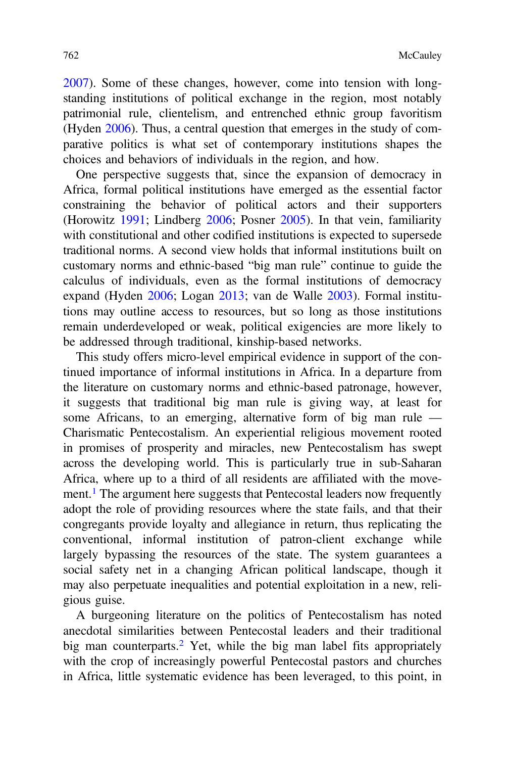[2007](#page-25-0)). Some of these changes, however, come into tension with longstanding institutions of political exchange in the region, most notably patrimonial rule, clientelism, and entrenched ethnic group favoritism (Hyden [2006](#page-24-0)). Thus, a central question that emerges in the study of comparative politics is what set of contemporary institutions shapes the choices and behaviors of individuals in the region, and how.

One perspective suggests that, since the expansion of democracy in Africa, formal political institutions have emerged as the essential factor constraining the behavior of political actors and their supporters (Horowitz [1991;](#page-24-0) Lindberg [2006;](#page-25-0) Posner [2005\)](#page-25-0). In that vein, familiarity with constitutional and other codified institutions is expected to supersede traditional norms. A second view holds that informal institutions built on customary norms and ethnic-based "big man rule" continue to guide the calculus of individuals, even as the formal institutions of democracy expand (Hyden [2006](#page-24-0); Logan [2013](#page-25-0); van de Walle [2003\)](#page-26-0). Formal institutions may outline access to resources, but so long as those institutions remain underdeveloped or weak, political exigencies are more likely to be addressed through traditional, kinship-based networks.

This study offers micro-level empirical evidence in support of the continued importance of informal institutions in Africa. In a departure from the literature on customary norms and ethnic-based patronage, however, it suggests that traditional big man rule is giving way, at least for some Africans, to an emerging, alternative form of big man rule — Charismatic Pentecostalism. An experiential religious movement rooted in promises of prosperity and miracles, new Pentecostalism has swept across the developing world. This is particularly true in sub-Saharan Africa, where up to a third of all residents are affiliated with the move-ment.<sup>[1](#page-22-0)</sup> The argument here suggests that Pentecostal leaders now frequently adopt the role of providing resources where the state fails, and that their congregants provide loyalty and allegiance in return, thus replicating the conventional, informal institution of patron-client exchange while largely bypassing the resources of the state. The system guarantees a social safety net in a changing African political landscape, though it may also perpetuate inequalities and potential exploitation in a new, religious guise.

A burgeoning literature on the politics of Pentecostalism has noted anecdotal similarities between Pentecostal leaders and their traditional big man counterparts.[2](#page-22-0) Yet, while the big man label fits appropriately with the crop of increasingly powerful Pentecostal pastors and churches in Africa, little systematic evidence has been leveraged, to this point, in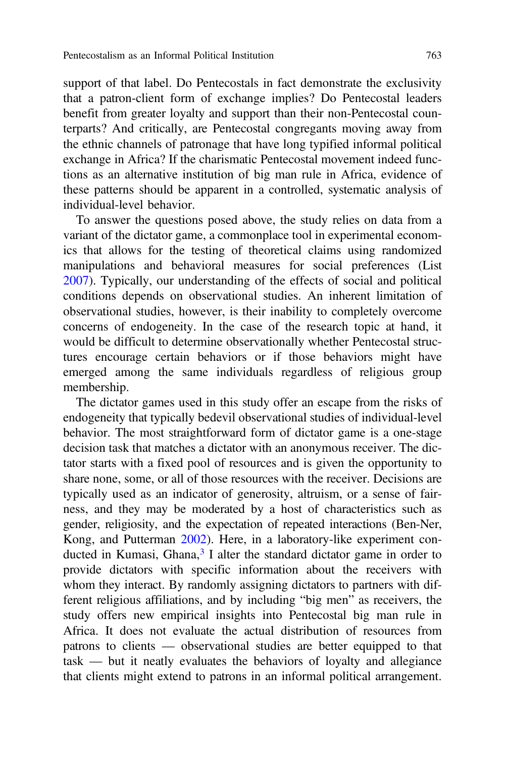support of that label. Do Pentecostals in fact demonstrate the exclusivity that a patron-client form of exchange implies? Do Pentecostal leaders benefit from greater loyalty and support than their non-Pentecostal counterparts? And critically, are Pentecostal congregants moving away from the ethnic channels of patronage that have long typified informal political exchange in Africa? If the charismatic Pentecostal movement indeed functions as an alternative institution of big man rule in Africa, evidence of these patterns should be apparent in a controlled, systematic analysis of individual-level behavior.

To answer the questions posed above, the study relies on data from a variant of the dictator game, a commonplace tool in experimental economics that allows for the testing of theoretical claims using randomized manipulations and behavioral measures for social preferences (List [2007](#page-25-0)). Typically, our understanding of the effects of social and political conditions depends on observational studies. An inherent limitation of observational studies, however, is their inability to completely overcome concerns of endogeneity. In the case of the research topic at hand, it would be difficult to determine observationally whether Pentecostal structures encourage certain behaviors or if those behaviors might have emerged among the same individuals regardless of religious group membership.

The dictator games used in this study offer an escape from the risks of endogeneity that typically bedevil observational studies of individual-level behavior. The most straightforward form of dictator game is a one-stage decision task that matches a dictator with an anonymous receiver. The dictator starts with a fixed pool of resources and is given the opportunity to share none, some, or all of those resources with the receiver. Decisions are typically used as an indicator of generosity, altruism, or a sense of fairness, and they may be moderated by a host of characteristics such as gender, religiosity, and the expectation of repeated interactions (Ben-Ner, Kong, and Putterman [2002\)](#page-23-0). Here, in a laboratory-like experiment con-ducted in Kumasi, Ghana,<sup>[3](#page-22-0)</sup> I alter the standard dictator game in order to provide dictators with specific information about the receivers with whom they interact. By randomly assigning dictators to partners with different religious affiliations, and by including "big men" as receivers, the study offers new empirical insights into Pentecostal big man rule in Africa. It does not evaluate the actual distribution of resources from patrons to clients — observational studies are better equipped to that task — but it neatly evaluates the behaviors of loyalty and allegiance that clients might extend to patrons in an informal political arrangement.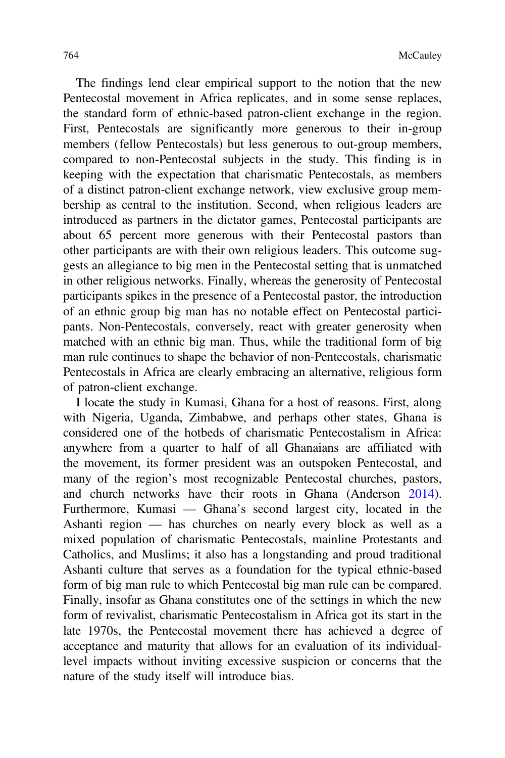The findings lend clear empirical support to the notion that the new Pentecostal movement in Africa replicates, and in some sense replaces, the standard form of ethnic-based patron-client exchange in the region. First, Pentecostals are significantly more generous to their in-group members (fellow Pentecostals) but less generous to out-group members, compared to non-Pentecostal subjects in the study. This finding is in keeping with the expectation that charismatic Pentecostals, as members of a distinct patron-client exchange network, view exclusive group membership as central to the institution. Second, when religious leaders are introduced as partners in the dictator games, Pentecostal participants are about 65 percent more generous with their Pentecostal pastors than other participants are with their own religious leaders. This outcome suggests an allegiance to big men in the Pentecostal setting that is unmatched in other religious networks. Finally, whereas the generosity of Pentecostal participants spikes in the presence of a Pentecostal pastor, the introduction of an ethnic group big man has no notable effect on Pentecostal participants. Non-Pentecostals, conversely, react with greater generosity when matched with an ethnic big man. Thus, while the traditional form of big man rule continues to shape the behavior of non-Pentecostals, charismatic Pentecostals in Africa are clearly embracing an alternative, religious form of patron-client exchange.

I locate the study in Kumasi, Ghana for a host of reasons. First, along with Nigeria, Uganda, Zimbabwe, and perhaps other states, Ghana is considered one of the hotbeds of charismatic Pentecostalism in Africa: anywhere from a quarter to half of all Ghanaians are affiliated with the movement, its former president was an outspoken Pentecostal, and many of the region's most recognizable Pentecostal churches, pastors, and church networks have their roots in Ghana (Anderson [2014\)](#page-23-0). Furthermore, Kumasi — Ghana's second largest city, located in the Ashanti region — has churches on nearly every block as well as a mixed population of charismatic Pentecostals, mainline Protestants and Catholics, and Muslims; it also has a longstanding and proud traditional Ashanti culture that serves as a foundation for the typical ethnic-based form of big man rule to which Pentecostal big man rule can be compared. Finally, insofar as Ghana constitutes one of the settings in which the new form of revivalist, charismatic Pentecostalism in Africa got its start in the late 1970s, the Pentecostal movement there has achieved a degree of acceptance and maturity that allows for an evaluation of its individuallevel impacts without inviting excessive suspicion or concerns that the nature of the study itself will introduce bias.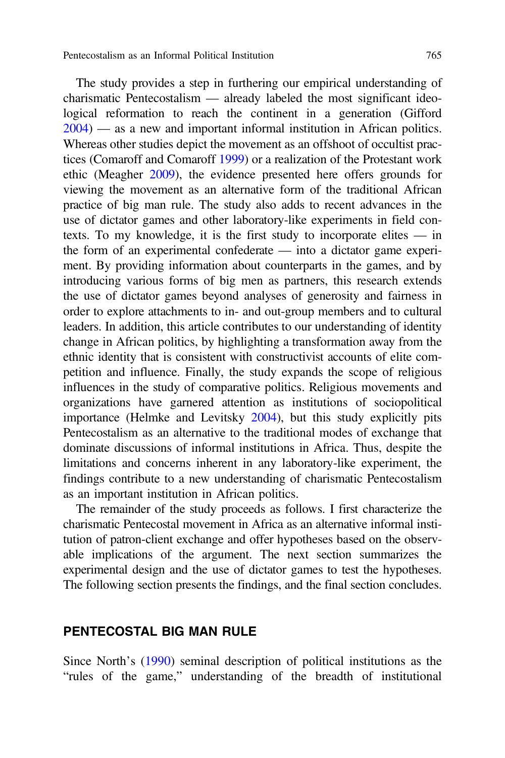The study provides a step in furthering our empirical understanding of charismatic Pentecostalism — already labeled the most significant ideological reformation to reach the continent in a generation (Gifford [2004\)](#page-24-0) — as a new and important informal institution in African politics. Whereas other studies depict the movement as an offshoot of occultist practices (Comaroff and Comaroff [1999](#page-24-0)) or a realization of the Protestant work ethic (Meagher [2009\)](#page-25-0), the evidence presented here offers grounds for viewing the movement as an alternative form of the traditional African practice of big man rule. The study also adds to recent advances in the use of dictator games and other laboratory-like experiments in field contexts. To my knowledge, it is the first study to incorporate elites — in the form of an experimental confederate — into a dictator game experiment. By providing information about counterparts in the games, and by introducing various forms of big men as partners, this research extends the use of dictator games beyond analyses of generosity and fairness in order to explore attachments to in- and out-group members and to cultural leaders. In addition, this article contributes to our understanding of identity change in African politics, by highlighting a transformation away from the ethnic identity that is consistent with constructivist accounts of elite competition and influence. Finally, the study expands the scope of religious influences in the study of comparative politics. Religious movements and organizations have garnered attention as institutions of sociopolitical importance (Helmke and Levitsky [2004\)](#page-24-0), but this study explicitly pits Pentecostalism as an alternative to the traditional modes of exchange that dominate discussions of informal institutions in Africa. Thus, despite the limitations and concerns inherent in any laboratory-like experiment, the findings contribute to a new understanding of charismatic Pentecostalism as an important institution in African politics.

The remainder of the study proceeds as follows. I first characterize the charismatic Pentecostal movement in Africa as an alternative informal institution of patron-client exchange and offer hypotheses based on the observable implications of the argument. The next section summarizes the experimental design and the use of dictator games to test the hypotheses. The following section presents the findings, and the final section concludes.

# PENTECOSTAL BIG MAN RULE

Since North's ([1990\)](#page-25-0) seminal description of political institutions as the "rules of the game," understanding of the breadth of institutional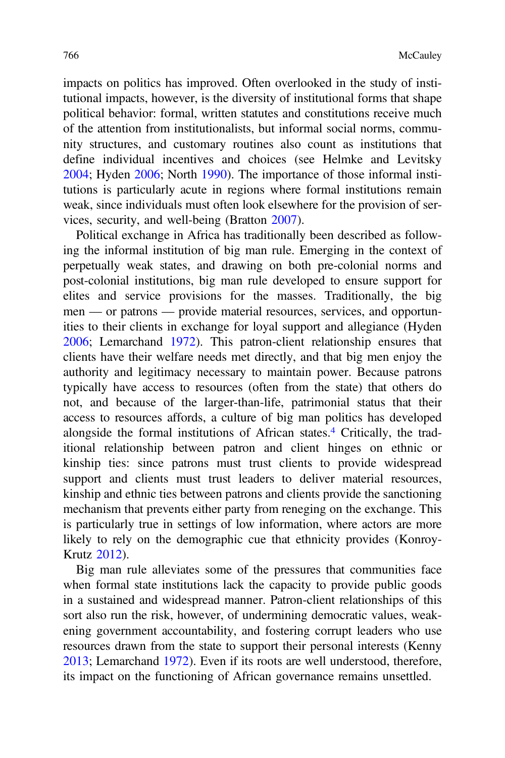impacts on politics has improved. Often overlooked in the study of institutional impacts, however, is the diversity of institutional forms that shape political behavior: formal, written statutes and constitutions receive much of the attention from institutionalists, but informal social norms, community structures, and customary routines also count as institutions that define individual incentives and choices (see Helmke and Levitsky [2004](#page-24-0); Hyden [2006;](#page-24-0) North [1990](#page-25-0)). The importance of those informal institutions is particularly acute in regions where formal institutions remain weak, since individuals must often look elsewhere for the provision of services, security, and well-being (Bratton [2007](#page-24-0)).

Political exchange in Africa has traditionally been described as following the informal institution of big man rule. Emerging in the context of perpetually weak states, and drawing on both pre-colonial norms and post-colonial institutions, big man rule developed to ensure support for elites and service provisions for the masses. Traditionally, the big men — or patrons — provide material resources, services, and opportunities to their clients in exchange for loyal support and allegiance (Hyden [2006](#page-24-0); Lemarchand [1972](#page-25-0)). This patron-client relationship ensures that clients have their welfare needs met directly, and that big men enjoy the authority and legitimacy necessary to maintain power. Because patrons typically have access to resources (often from the state) that others do not, and because of the larger-than-life, patrimonial status that their access to resources affords, a culture of big man politics has developed alongside the formal institutions of African states.[4](#page-22-0) Critically, the traditional relationship between patron and client hinges on ethnic or kinship ties: since patrons must trust clients to provide widespread support and clients must trust leaders to deliver material resources, kinship and ethnic ties between patrons and clients provide the sanctioning mechanism that prevents either party from reneging on the exchange. This is particularly true in settings of low information, where actors are more likely to rely on the demographic cue that ethnicity provides (Konroy-Krutz [2012](#page-24-0)).

Big man rule alleviates some of the pressures that communities face when formal state institutions lack the capacity to provide public goods in a sustained and widespread manner. Patron-client relationships of this sort also run the risk, however, of undermining democratic values, weakening government accountability, and fostering corrupt leaders who use resources drawn from the state to support their personal interests (Kenny [2013](#page-25-0); Lemarchand [1972\)](#page-25-0). Even if its roots are well understood, therefore, its impact on the functioning of African governance remains unsettled.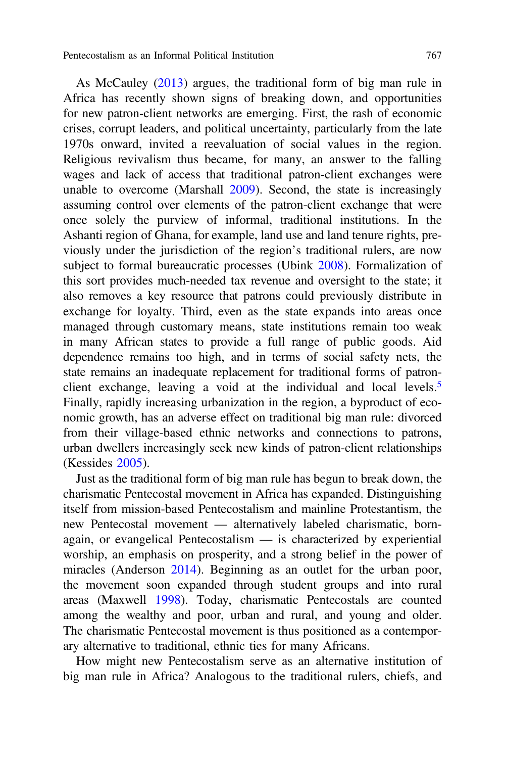As McCauley ([2013\)](#page-25-0) argues, the traditional form of big man rule in Africa has recently shown signs of breaking down, and opportunities for new patron-client networks are emerging. First, the rash of economic crises, corrupt leaders, and political uncertainty, particularly from the late 1970s onward, invited a reevaluation of social values in the region. Religious revivalism thus became, for many, an answer to the falling wages and lack of access that traditional patron-client exchanges were unable to overcome (Marshall [2009](#page-25-0)). Second, the state is increasingly assuming control over elements of the patron-client exchange that were once solely the purview of informal, traditional institutions. In the Ashanti region of Ghana, for example, land use and land tenure rights, previously under the jurisdiction of the region's traditional rulers, are now subject to formal bureaucratic processes (Ubink [2008](#page-25-0)). Formalization of this sort provides much-needed tax revenue and oversight to the state; it also removes a key resource that patrons could previously distribute in exchange for loyalty. Third, even as the state expands into areas once managed through customary means, state institutions remain too weak in many African states to provide a full range of public goods. Aid dependence remains too high, and in terms of social safety nets, the state remains an inadequate replacement for traditional forms of patronclient exchange, leaving a void at the individual and local levels.[5](#page-22-0) Finally, rapidly increasing urbanization in the region, a byproduct of economic growth, has an adverse effect on traditional big man rule: divorced from their village-based ethnic networks and connections to patrons, urban dwellers increasingly seek new kinds of patron-client relationships (Kessides [2005\)](#page-25-0).

Just as the traditional form of big man rule has begun to break down, the charismatic Pentecostal movement in Africa has expanded. Distinguishing itself from mission-based Pentecostalism and mainline Protestantism, the new Pentecostal movement — alternatively labeled charismatic, bornagain, or evangelical Pentecostalism — is characterized by experiential worship, an emphasis on prosperity, and a strong belief in the power of miracles (Anderson [2014](#page-23-0)). Beginning as an outlet for the urban poor, the movement soon expanded through student groups and into rural areas (Maxwell [1998\)](#page-25-0). Today, charismatic Pentecostals are counted among the wealthy and poor, urban and rural, and young and older. The charismatic Pentecostal movement is thus positioned as a contemporary alternative to traditional, ethnic ties for many Africans.

How might new Pentecostalism serve as an alternative institution of big man rule in Africa? Analogous to the traditional rulers, chiefs, and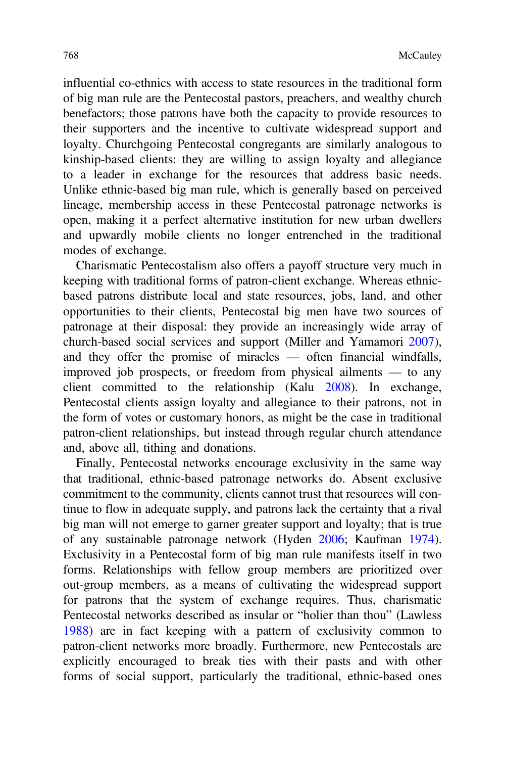influential co-ethnics with access to state resources in the traditional form of big man rule are the Pentecostal pastors, preachers, and wealthy church benefactors; those patrons have both the capacity to provide resources to their supporters and the incentive to cultivate widespread support and loyalty. Churchgoing Pentecostal congregants are similarly analogous to kinship-based clients: they are willing to assign loyalty and allegiance to a leader in exchange for the resources that address basic needs. Unlike ethnic-based big man rule, which is generally based on perceived lineage, membership access in these Pentecostal patronage networks is open, making it a perfect alternative institution for new urban dwellers and upwardly mobile clients no longer entrenched in the traditional modes of exchange.

Charismatic Pentecostalism also offers a payoff structure very much in keeping with traditional forms of patron-client exchange. Whereas ethnicbased patrons distribute local and state resources, jobs, land, and other opportunities to their clients, Pentecostal big men have two sources of patronage at their disposal: they provide an increasingly wide array of church-based social services and support (Miller and Yamamori [2007\)](#page-25-0), and they offer the promise of miracles — often financial windfalls, improved job prospects, or freedom from physical ailments — to any client committed to the relationship (Kalu [2008](#page-24-0)). In exchange, Pentecostal clients assign loyalty and allegiance to their patrons, not in the form of votes or customary honors, as might be the case in traditional patron-client relationships, but instead through regular church attendance and, above all, tithing and donations.

Finally, Pentecostal networks encourage exclusivity in the same way that traditional, ethnic-based patronage networks do. Absent exclusive commitment to the community, clients cannot trust that resources will continue to flow in adequate supply, and patrons lack the certainty that a rival big man will not emerge to garner greater support and loyalty; that is true of any sustainable patronage network (Hyden [2006;](#page-24-0) Kaufman [1974\)](#page-24-0). Exclusivity in a Pentecostal form of big man rule manifests itself in two forms. Relationships with fellow group members are prioritized over out-group members, as a means of cultivating the widespread support for patrons that the system of exchange requires. Thus, charismatic Pentecostal networks described as insular or "holier than thou" (Lawless [1988](#page-25-0)) are in fact keeping with a pattern of exclusivity common to patron-client networks more broadly. Furthermore, new Pentecostals are explicitly encouraged to break ties with their pasts and with other forms of social support, particularly the traditional, ethnic-based ones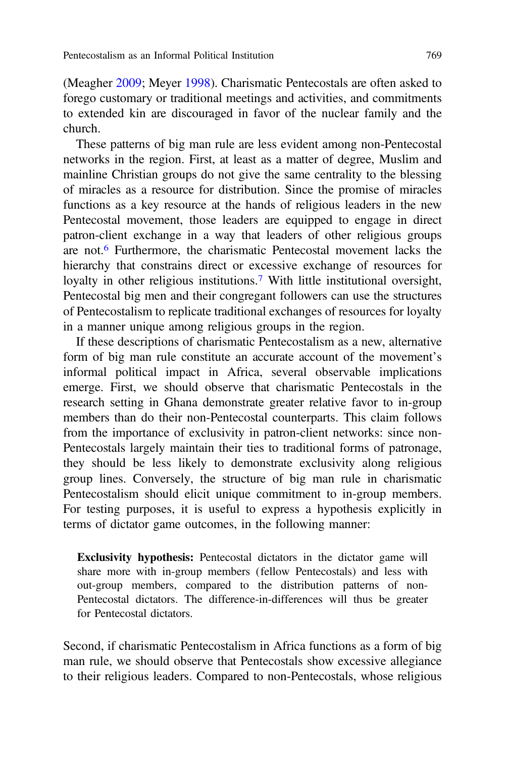(Meagher [2009](#page-25-0); Meyer [1998](#page-25-0)). Charismatic Pentecostals are often asked to forego customary or traditional meetings and activities, and commitments to extended kin are discouraged in favor of the nuclear family and the church.

These patterns of big man rule are less evident among non-Pentecostal networks in the region. First, at least as a matter of degree, Muslim and mainline Christian groups do not give the same centrality to the blessing of miracles as a resource for distribution. Since the promise of miracles functions as a key resource at the hands of religious leaders in the new Pentecostal movement, those leaders are equipped to engage in direct patron-client exchange in a way that leaders of other religious groups are not.[6](#page-23-0) Furthermore, the charismatic Pentecostal movement lacks the hierarchy that constrains direct or excessive exchange of resources for loyalty in other religious institutions.<sup>[7](#page-23-0)</sup> With little institutional oversight, Pentecostal big men and their congregant followers can use the structures of Pentecostalism to replicate traditional exchanges of resources for loyalty in a manner unique among religious groups in the region.

If these descriptions of charismatic Pentecostalism as a new, alternative form of big man rule constitute an accurate account of the movement's informal political impact in Africa, several observable implications emerge. First, we should observe that charismatic Pentecostals in the research setting in Ghana demonstrate greater relative favor to in-group members than do their non-Pentecostal counterparts. This claim follows from the importance of exclusivity in patron-client networks: since non-Pentecostals largely maintain their ties to traditional forms of patronage, they should be less likely to demonstrate exclusivity along religious group lines. Conversely, the structure of big man rule in charismatic Pentecostalism should elicit unique commitment to in-group members. For testing purposes, it is useful to express a hypothesis explicitly in terms of dictator game outcomes, in the following manner:

Exclusivity hypothesis: Pentecostal dictators in the dictator game will share more with in-group members (fellow Pentecostals) and less with out-group members, compared to the distribution patterns of non-Pentecostal dictators. The difference-in-differences will thus be greater for Pentecostal dictators.

Second, if charismatic Pentecostalism in Africa functions as a form of big man rule, we should observe that Pentecostals show excessive allegiance to their religious leaders. Compared to non-Pentecostals, whose religious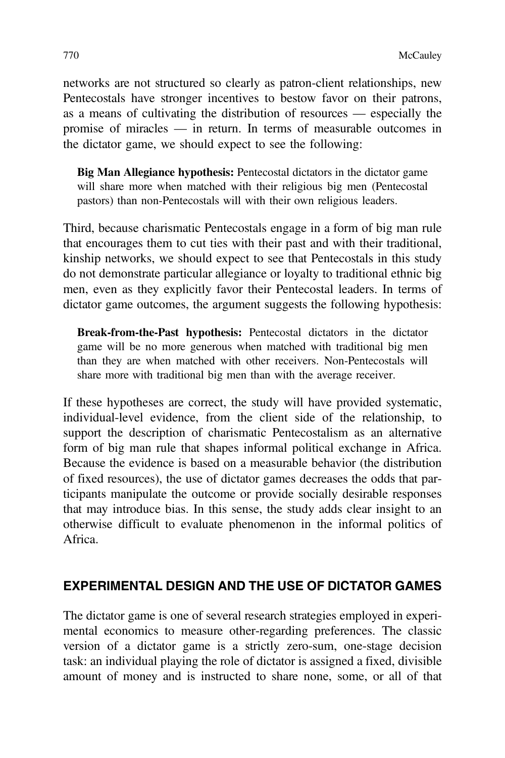networks are not structured so clearly as patron-client relationships, new Pentecostals have stronger incentives to bestow favor on their patrons, as a means of cultivating the distribution of resources — especially the promise of miracles — in return. In terms of measurable outcomes in the dictator game, we should expect to see the following:

Big Man Allegiance hypothesis: Pentecostal dictators in the dictator game will share more when matched with their religious big men (Pentecostal pastors) than non-Pentecostals will with their own religious leaders.

Third, because charismatic Pentecostals engage in a form of big man rule that encourages them to cut ties with their past and with their traditional, kinship networks, we should expect to see that Pentecostals in this study do not demonstrate particular allegiance or loyalty to traditional ethnic big men, even as they explicitly favor their Pentecostal leaders. In terms of dictator game outcomes, the argument suggests the following hypothesis:

Break-from-the-Past hypothesis: Pentecostal dictators in the dictator game will be no more generous when matched with traditional big men than they are when matched with other receivers. Non-Pentecostals will share more with traditional big men than with the average receiver.

If these hypotheses are correct, the study will have provided systematic, individual-level evidence, from the client side of the relationship, to support the description of charismatic Pentecostalism as an alternative form of big man rule that shapes informal political exchange in Africa. Because the evidence is based on a measurable behavior (the distribution of fixed resources), the use of dictator games decreases the odds that participants manipulate the outcome or provide socially desirable responses that may introduce bias. In this sense, the study adds clear insight to an otherwise difficult to evaluate phenomenon in the informal politics of Africa.

# EXPERIMENTAL DESIGN AND THE USE OF DICTATOR GAMES

The dictator game is one of several research strategies employed in experimental economics to measure other-regarding preferences. The classic version of a dictator game is a strictly zero-sum, one-stage decision task: an individual playing the role of dictator is assigned a fixed, divisible amount of money and is instructed to share none, some, or all of that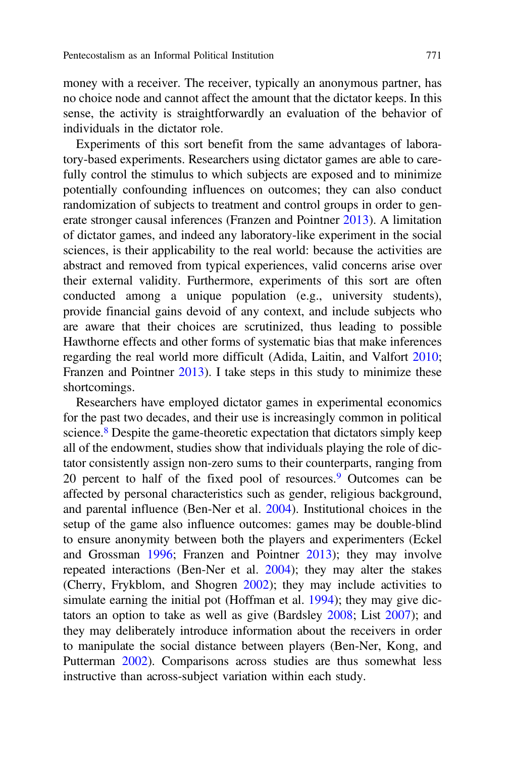money with a receiver. The receiver, typically an anonymous partner, has no choice node and cannot affect the amount that the dictator keeps. In this sense, the activity is straightforwardly an evaluation of the behavior of individuals in the dictator role.

Experiments of this sort benefit from the same advantages of laboratory-based experiments. Researchers using dictator games are able to carefully control the stimulus to which subjects are exposed and to minimize potentially confounding influences on outcomes; they can also conduct randomization of subjects to treatment and control groups in order to generate stronger causal inferences (Franzen and Pointner [2013\)](#page-24-0). A limitation of dictator games, and indeed any laboratory-like experiment in the social sciences, is their applicability to the real world: because the activities are abstract and removed from typical experiences, valid concerns arise over their external validity. Furthermore, experiments of this sort are often conducted among a unique population (e.g., university students), provide financial gains devoid of any context, and include subjects who are aware that their choices are scrutinized, thus leading to possible Hawthorne effects and other forms of systematic bias that make inferences regarding the real world more difficult (Adida, Laitin, and Valfort [2010](#page-23-0); Franzen and Pointner [2013\)](#page-24-0). I take steps in this study to minimize these shortcomings.

Researchers have employed dictator games in experimental economics for the past two decades, and their use is increasingly common in political science.<sup>[8](#page-23-0)</sup> Despite the game-theoretic expectation that dictators simply keep all of the endowment, studies show that individuals playing the role of dictator consistently assign non-zero sums to their counterparts, ranging from 20 percent to half of the fixed pool of resources.[9](#page-23-0) Outcomes can be affected by personal characteristics such as gender, religious background, and parental influence (Ben-Ner et al. [2004](#page-23-0)). Institutional choices in the setup of the game also influence outcomes: games may be double-blind to ensure anonymity between both the players and experimenters (Eckel and Grossman [1996;](#page-24-0) Franzen and Pointner [2013](#page-24-0)); they may involve repeated interactions (Ben-Ner et al. [2004\)](#page-23-0); they may alter the stakes (Cherry, Frykblom, and Shogren [2002](#page-24-0)); they may include activities to simulate earning the initial pot (Hoffman et al. [1994\)](#page-24-0); they may give dictators an option to take as well as give (Bardsley [2008;](#page-23-0) List [2007\)](#page-25-0); and they may deliberately introduce information about the receivers in order to manipulate the social distance between players (Ben-Ner, Kong, and Putterman [2002](#page-23-0)). Comparisons across studies are thus somewhat less instructive than across-subject variation within each study.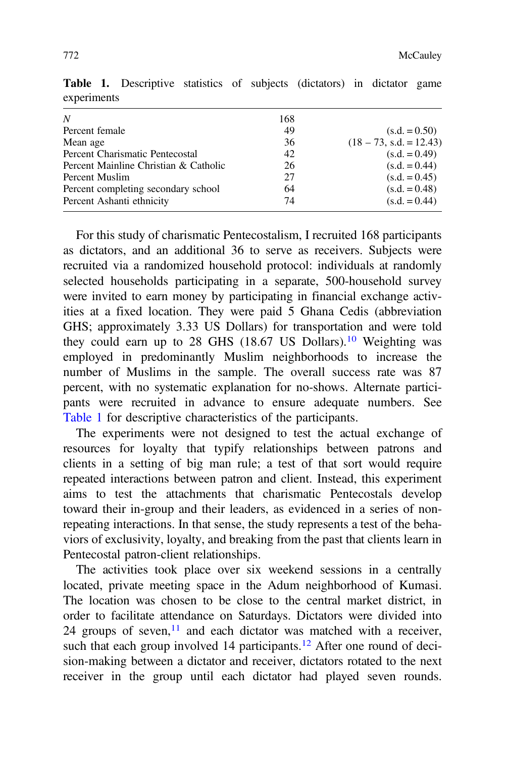| N                                     | 168 |                           |
|---------------------------------------|-----|---------------------------|
| Percent female                        | 49  | $(s.d. = 0.50)$           |
| Mean age                              | 36  | $(18 - 73, s.d. = 12.43)$ |
| Percent Charismatic Pentecostal       | 42  | $(s.d. = 0.49)$           |
| Percent Mainline Christian & Catholic | 26  | $(s.d. = 0.44)$           |
| Percent Muslim                        | 27  | $(s.d. = 0.45)$           |
| Percent completing secondary school   | 64  | $(s.d. = 0.48)$           |
| Percent Ashanti ethnicity             | 74  | $(s.d. = 0.44)$           |
|                                       |     |                           |

Table 1. Descriptive statistics of subjects (dictators) in dictator game experiments

For this study of charismatic Pentecostalism, I recruited 168 participants as dictators, and an additional 36 to serve as receivers. Subjects were recruited via a randomized household protocol: individuals at randomly selected households participating in a separate, 500-household survey were invited to earn money by participating in financial exchange activities at a fixed location. They were paid 5 Ghana Cedis (abbreviation GHS; approximately 3.33 US Dollars) for transportation and were told they could earn up to  $28$  GHS (18.67 US Dollars).<sup>[10](#page-23-0)</sup> Weighting was employed in predominantly Muslim neighborhoods to increase the number of Muslims in the sample. The overall success rate was 87 percent, with no systematic explanation for no-shows. Alternate participants were recruited in advance to ensure adequate numbers. See Table 1 for descriptive characteristics of the participants.

The experiments were not designed to test the actual exchange of resources for loyalty that typify relationships between patrons and clients in a setting of big man rule; a test of that sort would require repeated interactions between patron and client. Instead, this experiment aims to test the attachments that charismatic Pentecostals develop toward their in-group and their leaders, as evidenced in a series of nonrepeating interactions. In that sense, the study represents a test of the behaviors of exclusivity, loyalty, and breaking from the past that clients learn in Pentecostal patron-client relationships.

The activities took place over six weekend sessions in a centrally located, private meeting space in the Adum neighborhood of Kumasi. The location was chosen to be close to the central market district, in order to facilitate attendance on Saturdays. Dictators were divided into 24 groups of seven, $11$  and each dictator was matched with a receiver, such that each group involved 14 participants.<sup>[12](#page-23-0)</sup> After one round of decision-making between a dictator and receiver, dictators rotated to the next receiver in the group until each dictator had played seven rounds.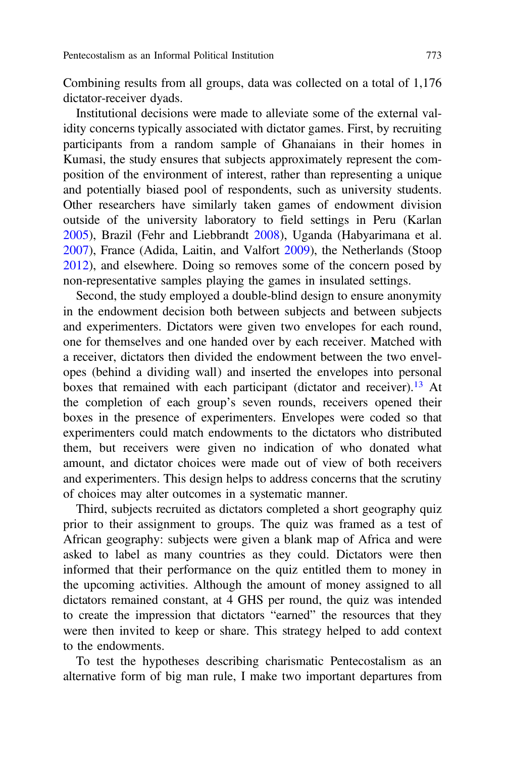Combining results from all groups, data was collected on a total of 1,176 dictator-receiver dyads.

Institutional decisions were made to alleviate some of the external validity concerns typically associated with dictator games. First, by recruiting participants from a random sample of Ghanaians in their homes in Kumasi, the study ensures that subjects approximately represent the composition of the environment of interest, rather than representing a unique and potentially biased pool of respondents, such as university students. Other researchers have similarly taken games of endowment division outside of the university laboratory to field settings in Peru (Karlan [2005](#page-24-0)), Brazil (Fehr and Liebbrandt [2008](#page-24-0)), Uganda (Habyarimana et al. [2007](#page-24-0)), France (Adida, Laitin, and Valfort [2009](#page-23-0)), the Netherlands (Stoop [2012](#page-25-0)), and elsewhere. Doing so removes some of the concern posed by non-representative samples playing the games in insulated settings.

Second, the study employed a double-blind design to ensure anonymity in the endowment decision both between subjects and between subjects and experimenters. Dictators were given two envelopes for each round, one for themselves and one handed over by each receiver. Matched with a receiver, dictators then divided the endowment between the two envelopes (behind a dividing wall) and inserted the envelopes into personal boxes that remained with each participant (dictator and receiver).[13](#page-23-0) At the completion of each group's seven rounds, receivers opened their boxes in the presence of experimenters. Envelopes were coded so that experimenters could match endowments to the dictators who distributed them, but receivers were given no indication of who donated what amount, and dictator choices were made out of view of both receivers and experimenters. This design helps to address concerns that the scrutiny of choices may alter outcomes in a systematic manner.

Third, subjects recruited as dictators completed a short geography quiz prior to their assignment to groups. The quiz was framed as a test of African geography: subjects were given a blank map of Africa and were asked to label as many countries as they could. Dictators were then informed that their performance on the quiz entitled them to money in the upcoming activities. Although the amount of money assigned to all dictators remained constant, at 4 GHS per round, the quiz was intended to create the impression that dictators "earned" the resources that they were then invited to keep or share. This strategy helped to add context to the endowments.

To test the hypotheses describing charismatic Pentecostalism as an alternative form of big man rule, I make two important departures from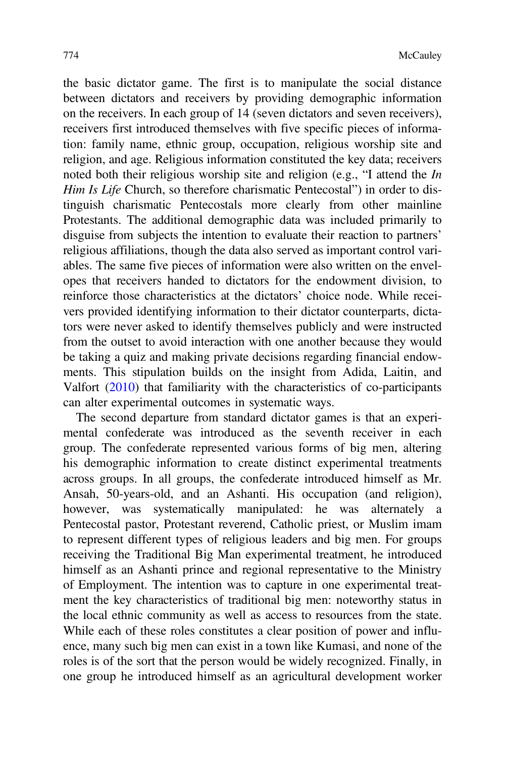the basic dictator game. The first is to manipulate the social distance between dictators and receivers by providing demographic information on the receivers. In each group of 14 (seven dictators and seven receivers), receivers first introduced themselves with five specific pieces of information: family name, ethnic group, occupation, religious worship site and religion, and age. Religious information constituted the key data; receivers noted both their religious worship site and religion (e.g., "I attend the In Him Is Life Church, so therefore charismatic Pentecostal") in order to distinguish charismatic Pentecostals more clearly from other mainline Protestants. The additional demographic data was included primarily to disguise from subjects the intention to evaluate their reaction to partners' religious affiliations, though the data also served as important control variables. The same five pieces of information were also written on the envelopes that receivers handed to dictators for the endowment division, to reinforce those characteristics at the dictators' choice node. While receivers provided identifying information to their dictator counterparts, dictators were never asked to identify themselves publicly and were instructed from the outset to avoid interaction with one another because they would be taking a quiz and making private decisions regarding financial endowments. This stipulation builds on the insight from Adida, Laitin, and Valfort [\(2010](#page-23-0)) that familiarity with the characteristics of co-participants can alter experimental outcomes in systematic ways.

The second departure from standard dictator games is that an experimental confederate was introduced as the seventh receiver in each group. The confederate represented various forms of big men, altering his demographic information to create distinct experimental treatments across groups. In all groups, the confederate introduced himself as Mr. Ansah, 50-years-old, and an Ashanti. His occupation (and religion), however, was systematically manipulated: he was alternately a Pentecostal pastor, Protestant reverend, Catholic priest, or Muslim imam to represent different types of religious leaders and big men. For groups receiving the Traditional Big Man experimental treatment, he introduced himself as an Ashanti prince and regional representative to the Ministry of Employment. The intention was to capture in one experimental treatment the key characteristics of traditional big men: noteworthy status in the local ethnic community as well as access to resources from the state. While each of these roles constitutes a clear position of power and influence, many such big men can exist in a town like Kumasi, and none of the roles is of the sort that the person would be widely recognized. Finally, in one group he introduced himself as an agricultural development worker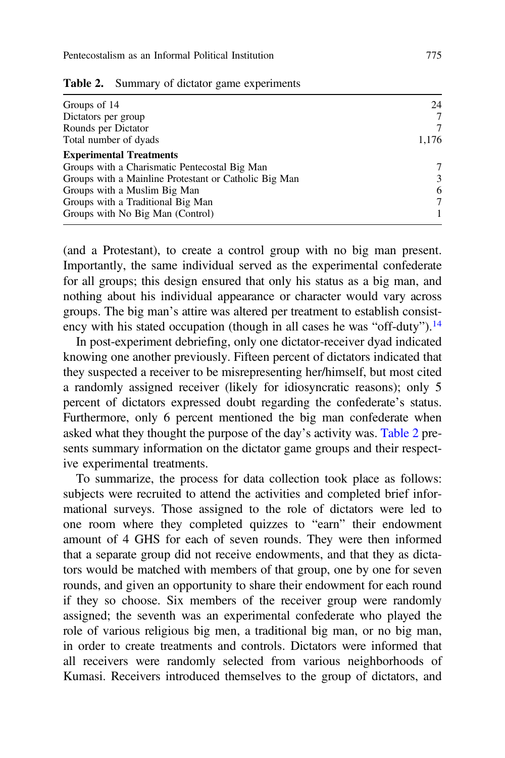| Groups of 14                                          | 24    |
|-------------------------------------------------------|-------|
| Dictators per group                                   | 7     |
| Rounds per Dictator                                   | 7     |
| Total number of dyads                                 | 1,176 |
| <b>Experimental Treatments</b>                        |       |
| Groups with a Charismatic Pentecostal Big Man         | 7     |
| Groups with a Mainline Protestant or Catholic Big Man | 3     |
| Groups with a Muslim Big Man                          | 6     |
| Groups with a Traditional Big Man                     | 7     |
| Groups with No Big Man (Control)                      | 1     |

Table 2. Summary of dictator game experiments

(and a Protestant), to create a control group with no big man present. Importantly, the same individual served as the experimental confederate for all groups; this design ensured that only his status as a big man, and nothing about his individual appearance or character would vary across groups. The big man's attire was altered per treatment to establish consist-ency with his stated occupation (though in all cases he was "off-duty").<sup>[14](#page-23-0)</sup>

In post-experiment debriefing, only one dictator-receiver dyad indicated knowing one another previously. Fifteen percent of dictators indicated that they suspected a receiver to be misrepresenting her/himself, but most cited a randomly assigned receiver (likely for idiosyncratic reasons); only 5 percent of dictators expressed doubt regarding the confederate's status. Furthermore, only 6 percent mentioned the big man confederate when asked what they thought the purpose of the day's activity was. Table 2 presents summary information on the dictator game groups and their respective experimental treatments.

To summarize, the process for data collection took place as follows: subjects were recruited to attend the activities and completed brief informational surveys. Those assigned to the role of dictators were led to one room where they completed quizzes to "earn" their endowment amount of 4 GHS for each of seven rounds. They were then informed that a separate group did not receive endowments, and that they as dictators would be matched with members of that group, one by one for seven rounds, and given an opportunity to share their endowment for each round if they so choose. Six members of the receiver group were randomly assigned; the seventh was an experimental confederate who played the role of various religious big men, a traditional big man, or no big man, in order to create treatments and controls. Dictators were informed that all receivers were randomly selected from various neighborhoods of Kumasi. Receivers introduced themselves to the group of dictators, and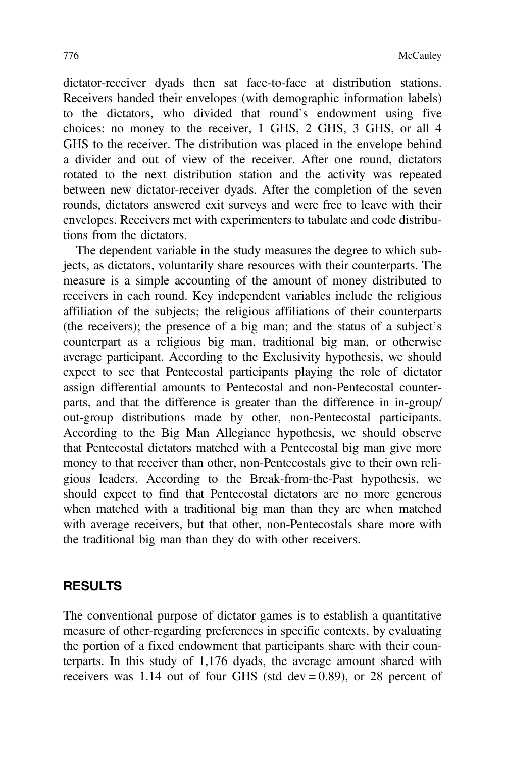dictator-receiver dyads then sat face-to-face at distribution stations. Receivers handed their envelopes (with demographic information labels) to the dictators, who divided that round's endowment using five choices: no money to the receiver, 1 GHS, 2 GHS, 3 GHS, or all 4 GHS to the receiver. The distribution was placed in the envelope behind a divider and out of view of the receiver. After one round, dictators rotated to the next distribution station and the activity was repeated between new dictator-receiver dyads. After the completion of the seven rounds, dictators answered exit surveys and were free to leave with their envelopes. Receivers met with experimenters to tabulate and code distributions from the dictators.

The dependent variable in the study measures the degree to which subjects, as dictators, voluntarily share resources with their counterparts. The measure is a simple accounting of the amount of money distributed to receivers in each round. Key independent variables include the religious affiliation of the subjects; the religious affiliations of their counterparts (the receivers); the presence of a big man; and the status of a subject's counterpart as a religious big man, traditional big man, or otherwise average participant. According to the Exclusivity hypothesis, we should expect to see that Pentecostal participants playing the role of dictator assign differential amounts to Pentecostal and non-Pentecostal counterparts, and that the difference is greater than the difference in in-group/ out-group distributions made by other, non-Pentecostal participants. According to the Big Man Allegiance hypothesis, we should observe that Pentecostal dictators matched with a Pentecostal big man give more money to that receiver than other, non-Pentecostals give to their own religious leaders. According to the Break-from-the-Past hypothesis, we should expect to find that Pentecostal dictators are no more generous when matched with a traditional big man than they are when matched with average receivers, but that other, non-Pentecostals share more with the traditional big man than they do with other receivers.

# RESULTS

The conventional purpose of dictator games is to establish a quantitative measure of other-regarding preferences in specific contexts, by evaluating the portion of a fixed endowment that participants share with their counterparts. In this study of 1,176 dyads, the average amount shared with receivers was 1.14 out of four GHS (std dev =  $0.89$ ), or 28 percent of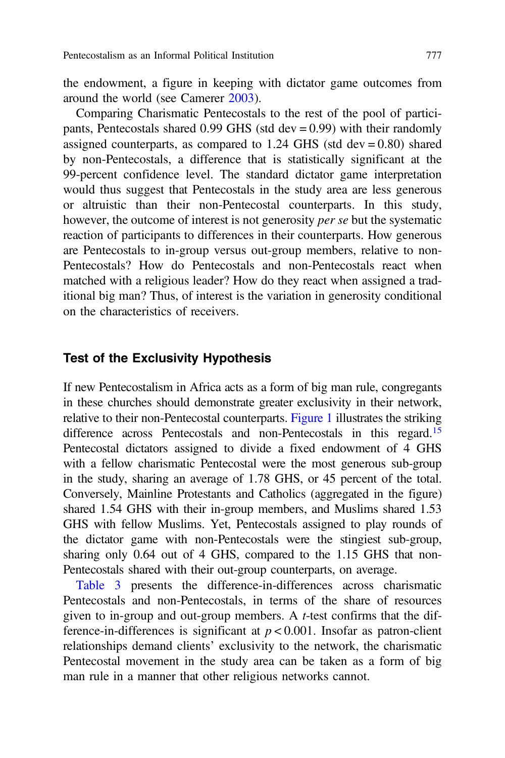the endowment, a figure in keeping with dictator game outcomes from around the world (see Camerer [2003\)](#page-24-0).

Comparing Charismatic Pentecostals to the rest of the pool of participants, Pentecostals shared 0.99 GHS (std dev =  $0.99$ ) with their randomly assigned counterparts, as compared to  $1.24$  GHS (std dev = 0.80) shared by non-Pentecostals, a difference that is statistically significant at the 99-percent confidence level. The standard dictator game interpretation would thus suggest that Pentecostals in the study area are less generous or altruistic than their non-Pentecostal counterparts. In this study, however, the outcome of interest is not generosity per se but the systematic reaction of participants to differences in their counterparts. How generous are Pentecostals to in-group versus out-group members, relative to non-Pentecostals? How do Pentecostals and non-Pentecostals react when matched with a religious leader? How do they react when assigned a traditional big man? Thus, of interest is the variation in generosity conditional on the characteristics of receivers.

## Test of the Exclusivity Hypothesis

If new Pentecostalism in Africa acts as a form of big man rule, congregants in these churches should demonstrate greater exclusivity in their network, relative to their non-Pentecostal counterparts. [Figure 1](#page-17-0) illustrates the striking difference across Pentecostals and non-Pentecostals in this regard.<sup>[15](#page-23-0)</sup> Pentecostal dictators assigned to divide a fixed endowment of 4 GHS with a fellow charismatic Pentecostal were the most generous sub-group in the study, sharing an average of 1.78 GHS, or 45 percent of the total. Conversely, Mainline Protestants and Catholics (aggregated in the figure) shared 1.54 GHS with their in-group members, and Muslims shared 1.53 GHS with fellow Muslims. Yet, Pentecostals assigned to play rounds of the dictator game with non-Pentecostals were the stingiest sub-group, sharing only 0.64 out of 4 GHS, compared to the 1.15 GHS that non-Pentecostals shared with their out-group counterparts, on average.

[Table 3](#page-17-0) presents the difference-in-differences across charismatic Pentecostals and non-Pentecostals, in terms of the share of resources given to in-group and out-group members. A *t*-test confirms that the difference-in-differences is significant at  $p < 0.001$ . Insofar as patron-client relationships demand clients' exclusivity to the network, the charismatic Pentecostal movement in the study area can be taken as a form of big man rule in a manner that other religious networks cannot.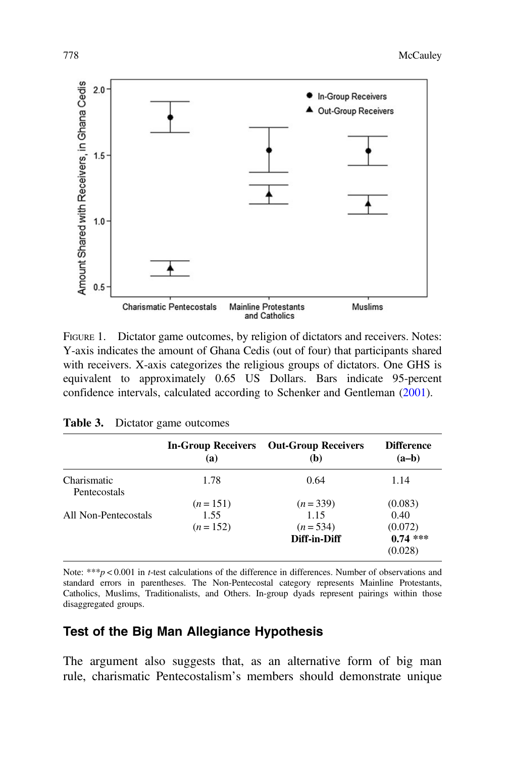<span id="page-17-0"></span>

FIGURE 1. Dictator game outcomes, by religion of dictators and receivers. Notes: Y-axis indicates the amount of Ghana Cedis (out of four) that participants shared with receivers. X-axis categorizes the religious groups of dictators. One GHS is equivalent to approximately 0.65 US Dollars. Bars indicate 95-percent confidence intervals, calculated according to Schenker and Gentleman ([2001\)](#page-25-0).

|                             | <b>In-Group Receivers</b><br>(a) | <b>Out-Group Receivers</b><br>(b) | <b>Difference</b><br>$(a-b)$ |
|-----------------------------|----------------------------------|-----------------------------------|------------------------------|
| Charismatic<br>Pentecostals | 1.78                             | 0.64                              | 1.14                         |
|                             | $(n=151)$                        | $(n=339)$                         | (0.083)                      |
| All Non-Pentecostals        | 1.55<br>$(n = 152)$              | 1.15<br>$(n=534)$                 | 0.40<br>(0.072)              |
|                             |                                  | Diff-in-Diff                      | $0.74$ ***                   |
|                             |                                  |                                   | (0.028)                      |

| Table 3. Dictator game outcomes |  |  |
|---------------------------------|--|--|
|                                 |  |  |

Note: \*\*\*p < 0.001 in t-test calculations of the difference in differences. Number of observations and standard errors in parentheses. The Non-Pentecostal category represents Mainline Protestants, Catholics, Muslims, Traditionalists, and Others. In-group dyads represent pairings within those disaggregated groups.

# Test of the Big Man Allegiance Hypothesis

The argument also suggests that, as an alternative form of big man rule, charismatic Pentecostalism's members should demonstrate unique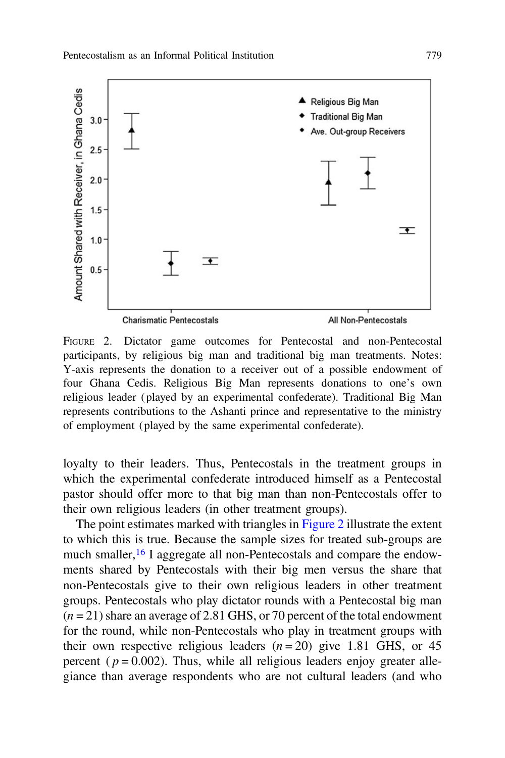<span id="page-18-0"></span>

FIGURE 2. Dictator game outcomes for Pentecostal and non-Pentecostal participants, by religious big man and traditional big man treatments. Notes: Y-axis represents the donation to a receiver out of a possible endowment of four Ghana Cedis. Religious Big Man represents donations to one's own religious leader ( played by an experimental confederate). Traditional Big Man represents contributions to the Ashanti prince and representative to the ministry of employment ( played by the same experimental confederate).

loyalty to their leaders. Thus, Pentecostals in the treatment groups in which the experimental confederate introduced himself as a Pentecostal pastor should offer more to that big man than non-Pentecostals offer to their own religious leaders (in other treatment groups).

The point estimates marked with triangles in Figure 2 illustrate the extent to which this is true. Because the sample sizes for treated sub-groups are much smaller,<sup>[16](#page-23-0)</sup> I aggregate all non-Pentecostals and compare the endowments shared by Pentecostals with their big men versus the share that non-Pentecostals give to their own religious leaders in other treatment groups. Pentecostals who play dictator rounds with a Pentecostal big man  $(n = 21)$  share an average of 2.81 GHS, or 70 percent of the total endowment for the round, while non-Pentecostals who play in treatment groups with their own respective religious leaders  $(n = 20)$  give 1.81 GHS, or 45 percent ( $p = 0.002$ ). Thus, while all religious leaders enjoy greater allegiance than average respondents who are not cultural leaders (and who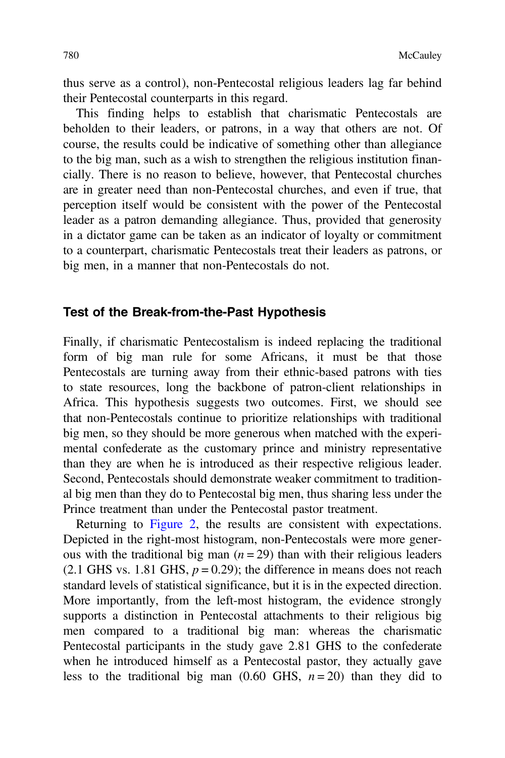thus serve as a control), non-Pentecostal religious leaders lag far behind their Pentecostal counterparts in this regard.

This finding helps to establish that charismatic Pentecostals are beholden to their leaders, or patrons, in a way that others are not. Of course, the results could be indicative of something other than allegiance to the big man, such as a wish to strengthen the religious institution financially. There is no reason to believe, however, that Pentecostal churches are in greater need than non-Pentecostal churches, and even if true, that perception itself would be consistent with the power of the Pentecostal leader as a patron demanding allegiance. Thus, provided that generosity in a dictator game can be taken as an indicator of loyalty or commitment to a counterpart, charismatic Pentecostals treat their leaders as patrons, or big men, in a manner that non-Pentecostals do not.

## Test of the Break-from-the-Past Hypothesis

Finally, if charismatic Pentecostalism is indeed replacing the traditional form of big man rule for some Africans, it must be that those Pentecostals are turning away from their ethnic-based patrons with ties to state resources, long the backbone of patron-client relationships in Africa. This hypothesis suggests two outcomes. First, we should see that non-Pentecostals continue to prioritize relationships with traditional big men, so they should be more generous when matched with the experimental confederate as the customary prince and ministry representative than they are when he is introduced as their respective religious leader. Second, Pentecostals should demonstrate weaker commitment to traditional big men than they do to Pentecostal big men, thus sharing less under the Prince treatment than under the Pentecostal pastor treatment.

Returning to [Figure 2,](#page-18-0) the results are consistent with expectations. Depicted in the right-most histogram, non-Pentecostals were more generous with the traditional big man  $(n = 29)$  than with their religious leaders (2.1 GHS vs. 1.81 GHS,  $p = 0.29$ ); the difference in means does not reach standard levels of statistical significance, but it is in the expected direction. More importantly, from the left-most histogram, the evidence strongly supports a distinction in Pentecostal attachments to their religious big men compared to a traditional big man: whereas the charismatic Pentecostal participants in the study gave 2.81 GHS to the confederate when he introduced himself as a Pentecostal pastor, they actually gave less to the traditional big man  $(0.60 \text{ GHz}, n = 20)$  than they did to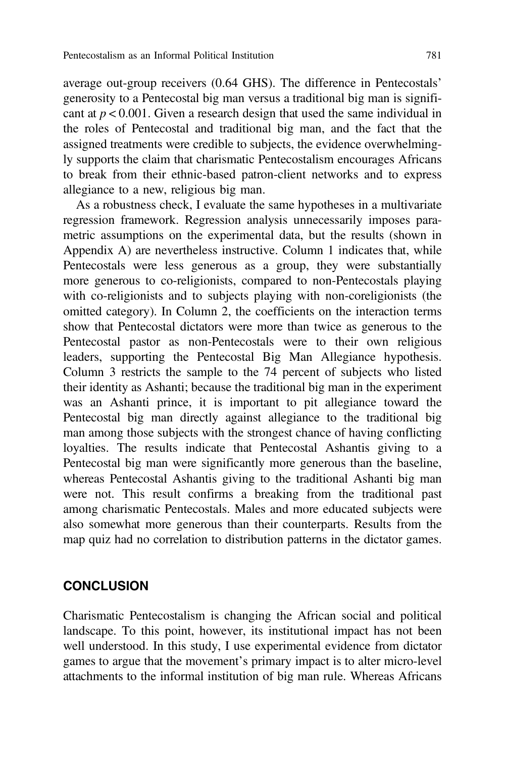average out-group receivers (0.64 GHS). The difference in Pentecostals' generosity to a Pentecostal big man versus a traditional big man is significant at  $p < 0.001$ . Given a research design that used the same individual in the roles of Pentecostal and traditional big man, and the fact that the assigned treatments were credible to subjects, the evidence overwhelmingly supports the claim that charismatic Pentecostalism encourages Africans to break from their ethnic-based patron-client networks and to express allegiance to a new, religious big man.

As a robustness check, I evaluate the same hypotheses in a multivariate regression framework. Regression analysis unnecessarily imposes parametric assumptions on the experimental data, but the results (shown in Appendix A) are nevertheless instructive. Column 1 indicates that, while Pentecostals were less generous as a group, they were substantially more generous to co-religionists, compared to non-Pentecostals playing with co-religionists and to subjects playing with non-coreligionists (the omitted category). In Column 2, the coefficients on the interaction terms show that Pentecostal dictators were more than twice as generous to the Pentecostal pastor as non-Pentecostals were to their own religious leaders, supporting the Pentecostal Big Man Allegiance hypothesis. Column 3 restricts the sample to the 74 percent of subjects who listed their identity as Ashanti; because the traditional big man in the experiment was an Ashanti prince, it is important to pit allegiance toward the Pentecostal big man directly against allegiance to the traditional big man among those subjects with the strongest chance of having conflicting loyalties. The results indicate that Pentecostal Ashantis giving to a Pentecostal big man were significantly more generous than the baseline, whereas Pentecostal Ashantis giving to the traditional Ashanti big man were not. This result confirms a breaking from the traditional past among charismatic Pentecostals. Males and more educated subjects were also somewhat more generous than their counterparts. Results from the map quiz had no correlation to distribution patterns in the dictator games.

### **CONCLUSION**

Charismatic Pentecostalism is changing the African social and political landscape. To this point, however, its institutional impact has not been well understood. In this study, I use experimental evidence from dictator games to argue that the movement's primary impact is to alter micro-level attachments to the informal institution of big man rule. Whereas Africans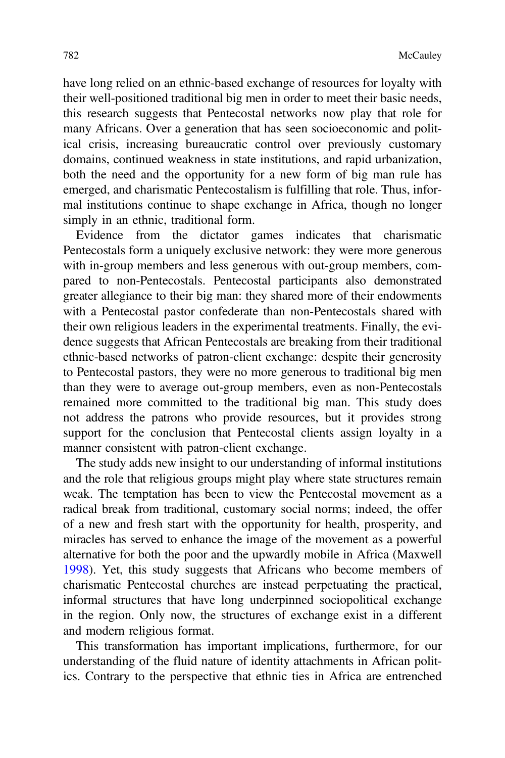have long relied on an ethnic-based exchange of resources for loyalty with their well-positioned traditional big men in order to meet their basic needs, this research suggests that Pentecostal networks now play that role for many Africans. Over a generation that has seen socioeconomic and political crisis, increasing bureaucratic control over previously customary domains, continued weakness in state institutions, and rapid urbanization, both the need and the opportunity for a new form of big man rule has emerged, and charismatic Pentecostalism is fulfilling that role. Thus, informal institutions continue to shape exchange in Africa, though no longer simply in an ethnic, traditional form.

Evidence from the dictator games indicates that charismatic Pentecostals form a uniquely exclusive network: they were more generous with in-group members and less generous with out-group members, compared to non-Pentecostals. Pentecostal participants also demonstrated greater allegiance to their big man: they shared more of their endowments with a Pentecostal pastor confederate than non-Pentecostals shared with their own religious leaders in the experimental treatments. Finally, the evidence suggests that African Pentecostals are breaking from their traditional ethnic-based networks of patron-client exchange: despite their generosity to Pentecostal pastors, they were no more generous to traditional big men than they were to average out-group members, even as non-Pentecostals remained more committed to the traditional big man. This study does not address the patrons who provide resources, but it provides strong support for the conclusion that Pentecostal clients assign loyalty in a manner consistent with patron-client exchange.

The study adds new insight to our understanding of informal institutions and the role that religious groups might play where state structures remain weak. The temptation has been to view the Pentecostal movement as a radical break from traditional, customary social norms; indeed, the offer of a new and fresh start with the opportunity for health, prosperity, and miracles has served to enhance the image of the movement as a powerful alternative for both the poor and the upwardly mobile in Africa (Maxwell [1998](#page-25-0)). Yet, this study suggests that Africans who become members of charismatic Pentecostal churches are instead perpetuating the practical, informal structures that have long underpinned sociopolitical exchange in the region. Only now, the structures of exchange exist in a different and modern religious format.

This transformation has important implications, furthermore, for our understanding of the fluid nature of identity attachments in African politics. Contrary to the perspective that ethnic ties in Africa are entrenched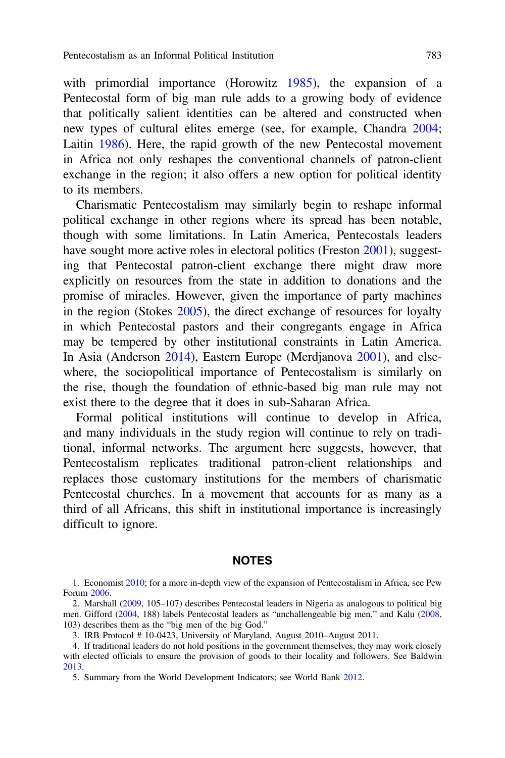<span id="page-22-0"></span>with primordial importance (Horowitz [1985](#page-24-0)), the expansion of a Pentecostal form of big man rule adds to a growing body of evidence that politically salient identities can be altered and constructed when new types of cultural elites emerge (see, for example, Chandra [2004](#page-24-0); Laitin [1986](#page-25-0)). Here, the rapid growth of the new Pentecostal movement in Africa not only reshapes the conventional channels of patron-client exchange in the region; it also offers a new option for political identity to its members.

Charismatic Pentecostalism may similarly begin to reshape informal political exchange in other regions where its spread has been notable, though with some limitations. In Latin America, Pentecostals leaders have sought more active roles in electoral politics (Freston [2001\)](#page-24-0), suggesting that Pentecostal patron-client exchange there might draw more explicitly on resources from the state in addition to donations and the promise of miracles. However, given the importance of party machines in the region (Stokes [2005](#page-25-0)), the direct exchange of resources for loyalty in which Pentecostal pastors and their congregants engage in Africa may be tempered by other institutional constraints in Latin America. In Asia (Anderson [2014](#page-23-0)), Eastern Europe (Merdjanova [2001](#page-25-0)), and elsewhere, the sociopolitical importance of Pentecostalism is similarly on the rise, though the foundation of ethnic-based big man rule may not exist there to the degree that it does in sub-Saharan Africa.

Formal political institutions will continue to develop in Africa, and many individuals in the study region will continue to rely on traditional, informal networks. The argument here suggests, however, that Pentecostalism replicates traditional patron-client relationships and replaces those customary institutions for the members of charismatic Pentecostal churches. In a movement that accounts for as many as a third of all Africans, this shift in institutional importance is increasingly difficult to ignore.

#### NOTES

<sup>1.</sup> Economist [2010;](#page-24-0) for a more in-depth view of the expansion of Pentecostalism in Africa, see Pew Forum [2006.](#page-25-0)

<sup>2.</sup> Marshall [\(2009,](#page-25-0) 105–107) describes Pentecostal leaders in Nigeria as analogous to political big men. Gifford [\(2004](#page-24-0), 188) labels Pentecostal leaders as "unchallengeable big men," and Kalu [\(2008,](#page-24-0) 103) describes them as the "big men of the big God."

<sup>3.</sup> IRB Protocol # 10-0423, University of Maryland, August 2010–August 2011.

<sup>4.</sup> If traditional leaders do not hold positions in the government themselves, they may work closely with elected officials to ensure the provision of goods to their locality and followers. See Baldwin [2013.](#page-23-0)

<sup>5.</sup> Summary from the World Development Indicators; see World Bank [2012.](#page-26-0)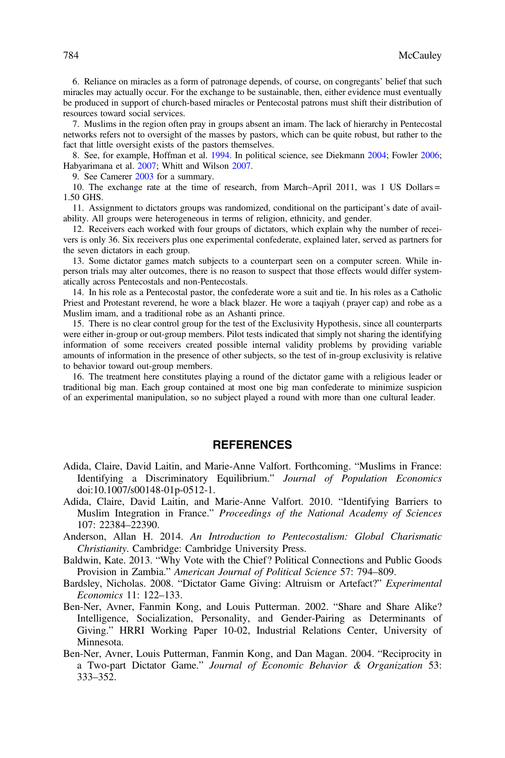<span id="page-23-0"></span>6. Reliance on miracles as a form of patronage depends, of course, on congregants' belief that such miracles may actually occur. For the exchange to be sustainable, then, either evidence must eventually be produced in support of church-based miracles or Pentecostal patrons must shift their distribution of resources toward social services.

7. Muslims in the region often pray in groups absent an imam. The lack of hierarchy in Pentecostal networks refers not to oversight of the masses by pastors, which can be quite robust, but rather to the fact that little oversight exists of the pastors themselves.

8. See, for example, Hoffman et al. [1994](#page-24-0). In political science, see Diekmann [2004](#page-24-0); Fowler [2006;](#page-24-0) Habyarimana et al. [2007;](#page-24-0) Whitt and Wilson [2007](#page-26-0).

9. See Camerer [2003](#page-24-0) for a summary.

10. The exchange rate at the time of research, from March–April 2011, was 1 US Dollars = 1.50 GHS.

11. Assignment to dictators groups was randomized, conditional on the participant's date of availability. All groups were heterogeneous in terms of religion, ethnicity, and gender.

12. Receivers each worked with four groups of dictators, which explain why the number of receivers is only 36. Six receivers plus one experimental confederate, explained later, served as partners for the seven dictators in each group.

13. Some dictator games match subjects to a counterpart seen on a computer screen. While inperson trials may alter outcomes, there is no reason to suspect that those effects would differ systematically across Pentecostals and non-Pentecostals.

14. In his role as a Pentecostal pastor, the confederate wore a suit and tie. In his roles as a Catholic Priest and Protestant reverend, he wore a black blazer. He wore a taqiyah ( prayer cap) and robe as a Muslim imam, and a traditional robe as an Ashanti prince.

15. There is no clear control group for the test of the Exclusivity Hypothesis, since all counterparts were either in-group or out-group members. Pilot tests indicated that simply not sharing the identifying information of some receivers created possible internal validity problems by providing variable amounts of information in the presence of other subjects, so the test of in-group exclusivity is relative to behavior toward out-group members.

16. The treatment here constitutes playing a round of the dictator game with a religious leader or traditional big man. Each group contained at most one big man confederate to minimize suspicion of an experimental manipulation, so no subject played a round with more than one cultural leader.

#### **REFERENCES**

- Adida, Claire, David Laitin, and Marie-Anne Valfort. Forthcoming. "Muslims in France: Identifying a Discriminatory Equilibrium." Journal of Population Economics doi:10.1007/s00148-01p-0512-1.
- Adida, Claire, David Laitin, and Marie-Anne Valfort. 2010. "Identifying Barriers to Muslim Integration in France." Proceedings of the National Academy of Sciences 107: 22384–22390.
- Anderson, Allan H. 2014. An Introduction to Pentecostalism: Global Charismatic Christianity. Cambridge: Cambridge University Press.
- Baldwin, Kate. 2013. "Why Vote with the Chief? Political Connections and Public Goods Provision in Zambia." American Journal of Political Science 57: 794–809.
- Bardsley, Nicholas. 2008. "Dictator Game Giving: Altruism or Artefact?" Experimental Economics 11: 122–133.
- Ben-Ner, Avner, Fanmin Kong, and Louis Putterman. 2002. "Share and Share Alike? Intelligence, Socialization, Personality, and Gender-Pairing as Determinants of Giving." HRRI Working Paper 10-02, Industrial Relations Center, University of Minnesota.
- Ben-Ner, Avner, Louis Putterman, Fanmin Kong, and Dan Magan. 2004. "Reciprocity in a Two-part Dictator Game." Journal of Economic Behavior & Organization 53: 333–352.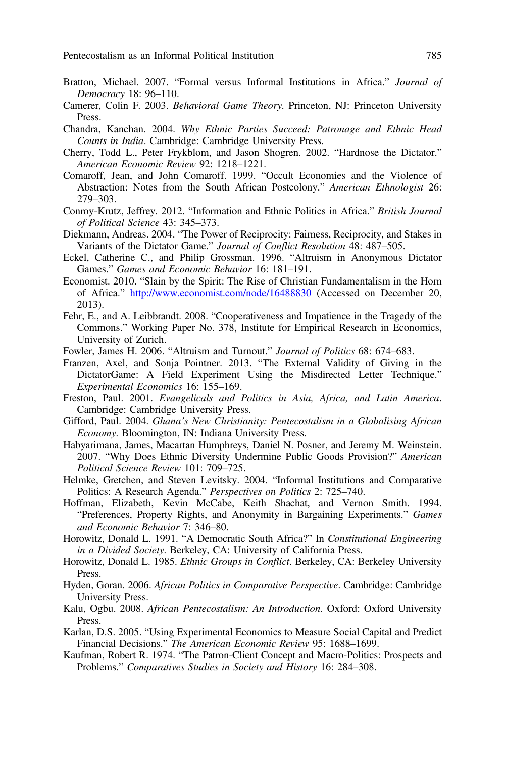- <span id="page-24-0"></span>Bratton, Michael. 2007. "Formal versus Informal Institutions in Africa." Journal of Democracy 18: 96–110.
- Camerer, Colin F. 2003. Behavioral Game Theory. Princeton, NJ: Princeton University Press.
- Chandra, Kanchan. 2004. Why Ethnic Parties Succeed: Patronage and Ethnic Head Counts in India. Cambridge: Cambridge University Press.
- Cherry, Todd L., Peter Frykblom, and Jason Shogren. 2002. "Hardnose the Dictator." American Economic Review 92: 1218–1221.
- Comaroff, Jean, and John Comaroff. 1999. "Occult Economies and the Violence of Abstraction: Notes from the South African Postcolony." American Ethnologist 26: 279–303.
- Conroy-Krutz, Jeffrey. 2012. "Information and Ethnic Politics in Africa." British Journal of Political Science 43: 345–373.
- Diekmann, Andreas. 2004. "The Power of Reciprocity: Fairness, Reciprocity, and Stakes in Variants of the Dictator Game." Journal of Conflict Resolution 48: 487–505.
- Eckel, Catherine C., and Philip Grossman. 1996. "Altruism in Anonymous Dictator Games." Games and Economic Behavior 16: 181–191.
- Economist. 2010. "Slain by the Spirit: The Rise of Christian Fundamentalism in the Horn of Africa." <http://www.economist.com/node/16488830> (Accessed on December 20, 2013).
- Fehr, E., and A. Leibbrandt. 2008. "Cooperativeness and Impatience in the Tragedy of the Commons." Working Paper No. 378, Institute for Empirical Research in Economics, University of Zurich.
- Fowler, James H. 2006. "Altruism and Turnout." Journal of Politics 68: 674-683.
- Franzen, Axel, and Sonja Pointner. 2013. "The External Validity of Giving in the DictatorGame: A Field Experiment Using the Misdirected Letter Technique." Experimental Economics 16: 155–169.
- Freston, Paul. 2001. Evangelicals and Politics in Asia, Africa, and Latin America. Cambridge: Cambridge University Press.
- Gifford, Paul. 2004. Ghana's New Christianity: Pentecostalism in a Globalising African Economy. Bloomington, IN: Indiana University Press.
- Habyarimana, James, Macartan Humphreys, Daniel N. Posner, and Jeremy M. Weinstein. 2007. "Why Does Ethnic Diversity Undermine Public Goods Provision?" American Political Science Review 101: 709–725.
- Helmke, Gretchen, and Steven Levitsky. 2004. "Informal Institutions and Comparative Politics: A Research Agenda." Perspectives on Politics 2: 725–740.
- Hoffman, Elizabeth, Kevin McCabe, Keith Shachat, and Vernon Smith. 1994. "Preferences, Property Rights, and Anonymity in Bargaining Experiments." Games and Economic Behavior 7: 346–80.
- Horowitz, Donald L. 1991. "A Democratic South Africa?" In Constitutional Engineering in a Divided Society. Berkeley, CA: University of California Press.
- Horowitz, Donald L. 1985. Ethnic Groups in Conflict. Berkeley, CA: Berkeley University Press.
- Hyden, Goran. 2006. African Politics in Comparative Perspective. Cambridge: Cambridge University Press.
- Kalu, Ogbu. 2008. African Pentecostalism: An Introduction. Oxford: Oxford University Press.
- Karlan, D.S. 2005. "Using Experimental Economics to Measure Social Capital and Predict Financial Decisions." The American Economic Review 95: 1688–1699.
- Kaufman, Robert R. 1974. "The Patron-Client Concept and Macro-Politics: Prospects and Problems." Comparatives Studies in Society and History 16: 284–308.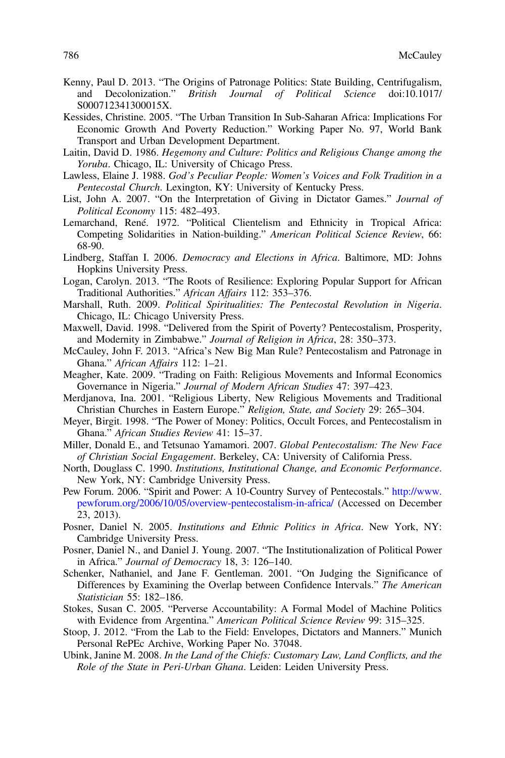- <span id="page-25-0"></span>Kenny, Paul D. 2013. "The Origins of Patronage Politics: State Building, Centrifugalism, and Decolonization." British Journal of Political Science doi:10.1017/ S000712341300015X.
- Kessides, Christine. 2005. "The Urban Transition In Sub-Saharan Africa: Implications For Economic Growth And Poverty Reduction." Working Paper No. 97, World Bank Transport and Urban Development Department.
- Laitin, David D. 1986. Hegemony and Culture: Politics and Religious Change among the Yoruba. Chicago, IL: University of Chicago Press.
- Lawless, Elaine J. 1988. God's Peculiar People: Women's Voices and Folk Tradition in a Pentecostal Church. Lexington, KY: University of Kentucky Press.
- List, John A. 2007. "On the Interpretation of Giving in Dictator Games." Journal of Political Economy 115: 482–493.
- Lemarchand, René. 1972. "Political Clientelism and Ethnicity in Tropical Africa: Competing Solidarities in Nation-building." American Political Science Review, 66: 68-90.
- Lindberg, Staffan I. 2006. Democracy and Elections in Africa. Baltimore, MD: Johns Hopkins University Press.
- Logan, Carolyn. 2013. "The Roots of Resilience: Exploring Popular Support for African Traditional Authorities." African Affairs 112: 353–376.
- Marshall, Ruth. 2009. Political Spiritualities: The Pentecostal Revolution in Nigeria. Chicago, IL: Chicago University Press.
- Maxwell, David. 1998. "Delivered from the Spirit of Poverty? Pentecostalism, Prosperity, and Modernity in Zimbabwe." Journal of Religion in Africa, 28: 350–373.
- McCauley, John F. 2013. "Africa's New Big Man Rule? Pentecostalism and Patronage in Ghana." African Affairs 112: 1–21.
- Meagher, Kate. 2009. "Trading on Faith: Religious Movements and Informal Economics Governance in Nigeria." Journal of Modern African Studies 47: 397–423.
- Merdjanova, Ina. 2001. "Religious Liberty, New Religious Movements and Traditional Christian Churches in Eastern Europe." Religion, State, and Society 29: 265–304.
- Meyer, Birgit. 1998. "The Power of Money: Politics, Occult Forces, and Pentecostalism in Ghana." African Studies Review 41: 15–37.
- Miller, Donald E., and Tetsunao Yamamori. 2007. Global Pentecostalism: The New Face of Christian Social Engagement. Berkeley, CA: University of California Press.
- North, Douglass C. 1990. Institutions, Institutional Change, and Economic Performance. New York, NY: Cambridge University Press.
- Pew Forum. 2006. "Spirit and Power: A 10-Country Survey of Pentecostals." [http://www.](http://www.pewforum.org/2006/10/05/overview-pentecostalism-in-africa/) [pewforum.org/2006/10/05/overview-pentecostalism-in-africa/](http://www.pewforum.org/2006/10/05/overview-pentecostalism-in-africa/) (Accessed on December 23, 2013).
- Posner, Daniel N. 2005. Institutions and Ethnic Politics in Africa. New York, NY: Cambridge University Press.
- Posner, Daniel N., and Daniel J. Young. 2007. "The Institutionalization of Political Power in Africa." Journal of Democracy 18, 3: 126–140.
- Schenker, Nathaniel, and Jane F. Gentleman. 2001. "On Judging the Significance of Differences by Examining the Overlap between Confidence Intervals." The American Statistician 55: 182–186.
- Stokes, Susan C. 2005. "Perverse Accountability: A Formal Model of Machine Politics with Evidence from Argentina." American Political Science Review 99: 315-325.
- Stoop, J. 2012. "From the Lab to the Field: Envelopes, Dictators and Manners." Munich Personal RePEc Archive, Working Paper No. 37048.
- Ubink, Janine M. 2008. In the Land of the Chiefs: Customary Law, Land Conflicts, and the Role of the State in Peri-Urban Ghana. Leiden: Leiden University Press.